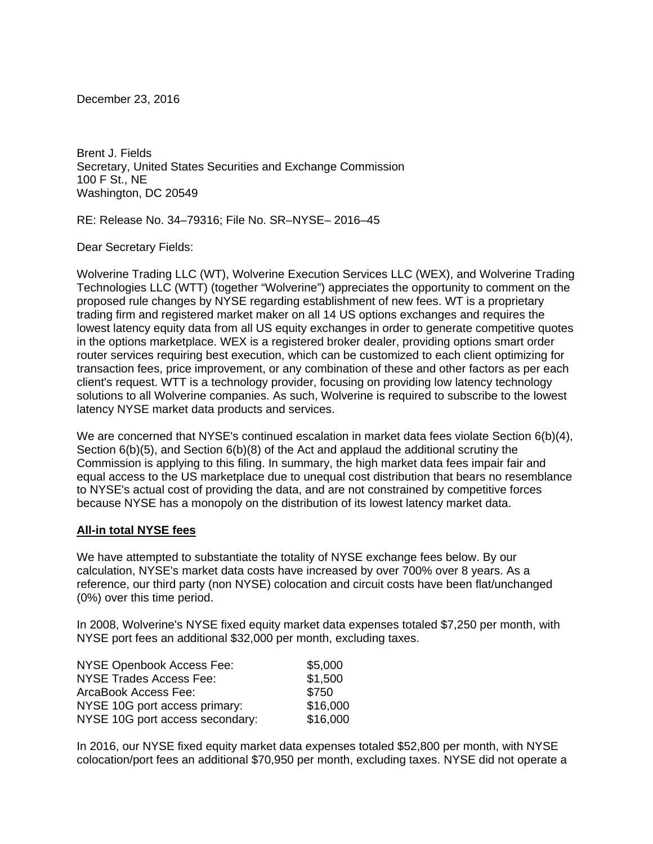December 23, 2016

Brent J. Fields Secretary, United States Securities and Exchange Commission 100 F St., NE Washington, DC 20549

RE: Release No. 34–79316; File No. SR–NYSE– 2016–45

Dear Secretary Fields:

Wolverine Trading LLC (WT), Wolverine Execution Services LLC (WEX), and Wolverine Trading Technologies LLC (WTT) (together "Wolverine") appreciates the opportunity to comment on the proposed rule changes by NYSE regarding establishment of new fees. WT is a proprietary trading firm and registered market maker on all 14 US options exchanges and requires the lowest latency equity data from all US equity exchanges in order to generate competitive quotes in the options marketplace. WEX is a registered broker dealer, providing options smart order router services requiring best execution, which can be customized to each client optimizing for transaction fees, price improvement, or any combination of these and other factors as per each client's request. WTT is a technology provider, focusing on providing low latency technology solutions to all Wolverine companies. As such, Wolverine is required to subscribe to the lowest latency NYSE market data products and services.

We are concerned that NYSE's continued escalation in market data fees violate Section 6(b)(4), Section 6(b)(5), and Section 6(b)(8) of the Act and applaud the additional scrutiny the Commission is applying to this filing. In summary, the high market data fees impair fair and equal access to the US marketplace due to unequal cost distribution that bears no resemblance to NYSE's actual cost of providing the data, and are not constrained by competitive forces because NYSE has a monopoly on the distribution of its lowest latency market data.

### **All-in total NYSE fees**

We have attempted to substantiate the totality of NYSE exchange fees below. By our calculation, NYSE's market data costs have increased by over 700% over 8 years. As a reference, our third party (non NYSE) colocation and circuit costs have been flat/unchanged (0%) over this time period.

In 2008, Wolverine's NYSE fixed equity market data expenses totaled \$7,250 per month, with NYSE port fees an additional \$32,000 per month, excluding taxes.

| \$5,000  |
|----------|
| \$1,500  |
| \$750    |
| \$16,000 |
| \$16,000 |
|          |

In 2016, our NYSE fixed equity market data expenses totaled \$52,800 per month, with NYSE colocation/port fees an additional \$70,950 per month, excluding taxes. NYSE did not operate a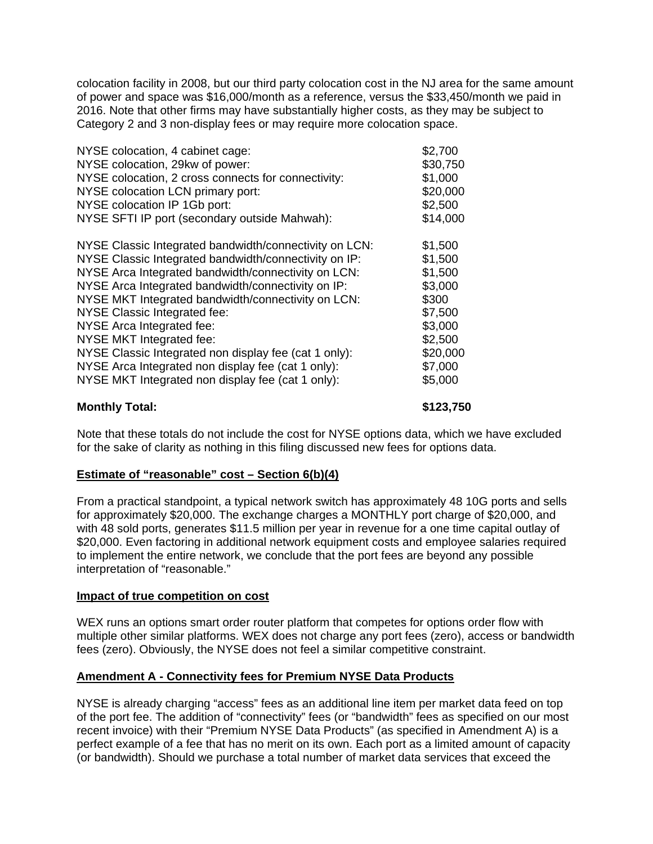colocation facility in 2008, but our third party colocation cost in the NJ area for the same amount of power and space was \$16,000/month as a reference, versus the \$33,450/month we paid in 2016. Note that other firms may have substantially higher costs, as they may be subject to Category 2 and 3 non-display fees or may require more colocation space.

| NYSE colocation, 4 cabinet cage:                       | \$2,700  |
|--------------------------------------------------------|----------|
| NYSE colocation, 29kw of power:                        | \$30,750 |
| NYSE colocation, 2 cross connects for connectivity:    | \$1,000  |
| NYSE colocation LCN primary port:                      | \$20,000 |
| NYSE colocation IP 1Gb port:                           | \$2,500  |
| NYSE SFTI IP port (secondary outside Mahwah):          | \$14,000 |
|                                                        |          |
| NYSE Classic Integrated bandwidth/connectivity on LCN: | \$1,500  |
| NYSE Classic Integrated bandwidth/connectivity on IP:  | \$1,500  |
| NYSE Arca Integrated bandwidth/connectivity on LCN:    | \$1,500  |
| NYSE Arca Integrated bandwidth/connectivity on IP:     | \$3,000  |
| NYSE MKT Integrated bandwidth/connectivity on LCN:     | \$300    |
| <b>NYSE Classic Integrated fee:</b>                    | \$7,500  |
| NYSE Arca Integrated fee:                              | \$3,000  |
| <b>NYSE MKT Integrated fee:</b>                        | \$2,500  |
| NYSE Classic Integrated non display fee (cat 1 only):  | \$20,000 |
| NYSE Arca Integrated non display fee (cat 1 only):     | \$7,000  |
| NYSE MKT Integrated non display fee (cat 1 only):      | \$5,000  |
|                                                        |          |

### **Monthly Total: \$123,750**

Note that these totals do not include the cost for NYSE options data, which we have excluded for the sake of clarity as nothing in this filing discussed new fees for options data.

# **Estimate of "reasonable" cost – Section 6(b)(4)**

From a practical standpoint, a typical network switch has approximately 48 10G ports and sells for approximately \$20,000. The exchange charges a MONTHLY port charge of \$20,000, and with 48 sold ports, generates \$11.5 million per year in revenue for a one time capital outlay of \$20,000. Even factoring in additional network equipment costs and employee salaries required to implement the entire network, we conclude that the port fees are beyond any possible interpretation of "reasonable."

### **Impact of true competition on cost**

WEX runs an options smart order router platform that competes for options order flow with multiple other similar platforms. WEX does not charge any port fees (zero), access or bandwidth fees (zero). Obviously, the NYSE does not feel a similar competitive constraint.

# **Amendment A - Connectivity fees for Premium NYSE Data Products**

NYSE is already charging "access" fees as an additional line item per market data feed on top of the port fee. The addition of "connectivity" fees (or "bandwidth" fees as specified on our most recent invoice) with their "Premium NYSE Data Products" (as specified in Amendment A) is a perfect example of a fee that has no merit on its own. Each port as a limited amount of capacity (or bandwidth). Should we purchase a total number of market data services that exceed the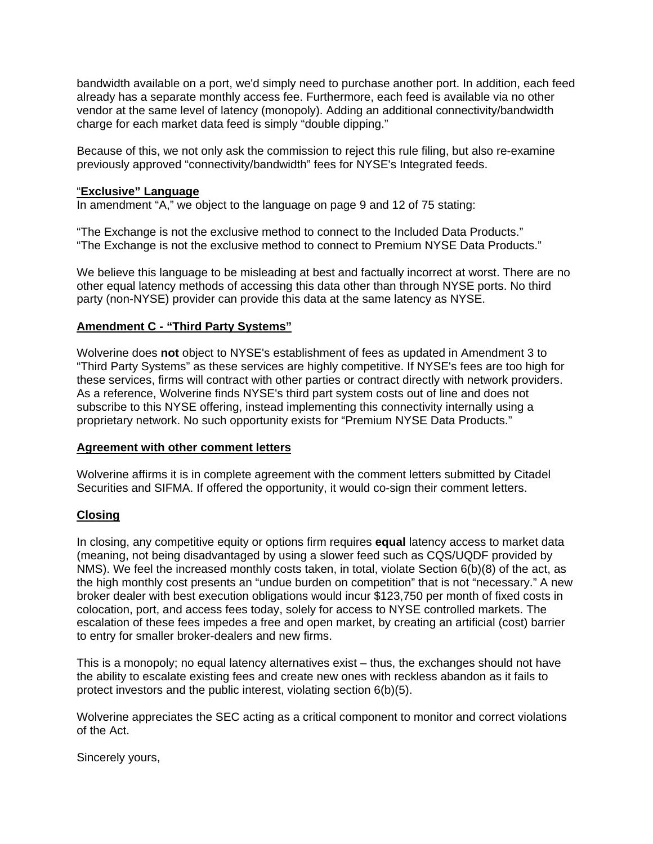bandwidth available on a port, we'd simply need to purchase another port. In addition, each feed already has a separate monthly access fee. Furthermore, each feed is available via no other vendor at the same level of latency (monopoly). Adding an additional connectivity/bandwidth charge for each market data feed is simply "double dipping."

Because of this, we not only ask the commission to reject this rule filing, but also re-examine previously approved "connectivity/bandwidth" fees for NYSE's Integrated feeds.

### "**Exclusive" Language**

In amendment "A," we object to the language on page 9 and 12 of 75 stating:

"The Exchange is not the exclusive method to connect to the Included Data Products." "The Exchange is not the exclusive method to connect to Premium NYSE Data Products."

We believe this language to be misleading at best and factually incorrect at worst. There are no other equal latency methods of accessing this data other than through NYSE ports. No third party (non-NYSE) provider can provide this data at the same latency as NYSE.

# **Amendment C - "Third Party Systems"**

Wolverine does **not** object to NYSE's establishment of fees as updated in Amendment 3 to "Third Party Systems" as these services are highly competitive. If NYSE's fees are too high for these services, firms will contract with other parties or contract directly with network providers. As a reference, Wolverine finds NYSE's third part system costs out of line and does not subscribe to this NYSE offering, instead implementing this connectivity internally using a proprietary network. No such opportunity exists for "Premium NYSE Data Products."

### **Agreement with other comment letters**

Wolverine affirms it is in complete agreement with the comment letters submitted by Citadel Securities and SIFMA. If offered the opportunity, it would co-sign their comment letters.

### **Closing**

In closing, any competitive equity or options firm requires **equal** latency access to market data (meaning, not being disadvantaged by using a slower feed such as CQS/UQDF provided by NMS). We feel the increased monthly costs taken, in total, violate Section 6(b)(8) of the act, as the high monthly cost presents an "undue burden on competition" that is not "necessary." A new broker dealer with best execution obligations would incur \$123,750 per month of fixed costs in colocation, port, and access fees today, solely for access to NYSE controlled markets. The escalation of these fees impedes a free and open market, by creating an artificial (cost) barrier to entry for smaller broker-dealers and new firms.

This is a monopoly; no equal latency alternatives exist – thus, the exchanges should not have the ability to escalate existing fees and create new ones with reckless abandon as it fails to protect investors and the public interest, violating section 6(b)(5).

Wolverine appreciates the SEC acting as a critical component to monitor and correct violations of the Act.

Sincerely yours,